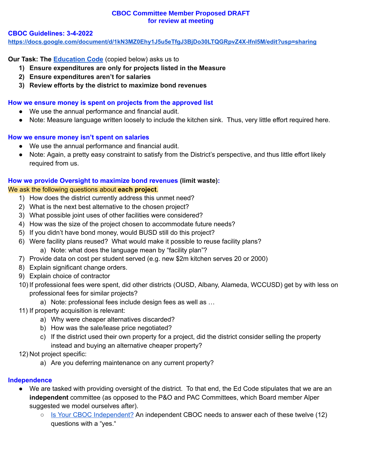### **CBOC Committee Member Proposed DRAFT for review at meeting**

#### **CBOC Guidelines: 3-4-2022**

**<https://docs.google.com/document/d/1kN3MZ0Ehy1J5u5eTfgJ3BjDo30LTQGRpvZ4X-lfnI5M/edit?usp=sharing>**

**Our Task: The [Education](https://leginfo.legislature.ca.gov/faces/codes_displaySection.xhtml?lawCode=EDC§ionNum=15278) Code** (copied below) asks us to

- **1) Ensure expenditures are only for projects listed in the Measure**
- **2) Ensure expenditures aren't for salaries**
- **3) Review efforts by the district to maximize bond revenues**

### **How we ensure money is spent on projects from the approved list**

- We use the annual performance and financial audit.
- Note: Measure language written loosely to include the kitchen sink. Thus, very little effort required here.

### **How we ensure money isn't spent on salaries**

- We use the annual performance and financial audit.
- Note: Again, a pretty easy constraint to satisfy from the District's perspective, and thus little effort likely required from us.

### **How we provide Oversight to maximize bond revenues (limit waste):**

### We ask the following questions about **each project**.

- 1) How does the district currently address this unmet need?
- 2) What is the next best alternative to the chosen project?
- 3) What possible joint uses of other facilities were considered?
- 4) How was the size of the project chosen to accommodate future needs?
- 5) If you didn't have bond money, would BUSD still do this project?
- 6) Were facility plans reused? What would make it possible to reuse facility plans?
	- a) Note: what does the language mean by "facility plan"?
- 7) Provide data on cost per student served (e.g. new \$2m kitchen serves 20 or 2000)
- 8) Explain significant change orders.
- 9) Explain choice of contractor
- 10) If professional fees were spent, did other districts (OUSD, Albany, Alameda, WCCUSD) get by with less on professional fees for similar projects?
	- a) Note: professional fees include design fees as well as …
- 11) If property acquisition is relevant:
	- a) Why were cheaper alternatives discarded?
	- b) How was the sale/lease price negotiated?
	- c) If the district used their own property for a project, did the district consider selling the property instead and buying an alternative cheaper property?

### 12) Not project specific:

a) Are you deferring maintenance on any current property?

### **Independence**

- We are tasked with providing oversight of the district. To that end, the Ed Code stipulates that we are an **independent** committee (as opposed to the P&O and PAC Committees, which Board member Alper suggested we model ourselves after).
	- Is Your CBOC [Independent?](https://www.bondoversight.org/california-bond-oversight-committee-faq/) An independent CBOC needs to answer each of these twelve (12) questions with a "yes."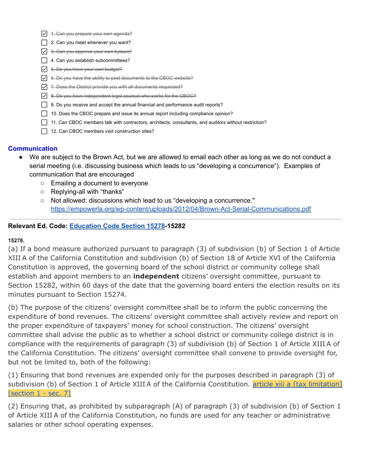- $\nabla$  4. Can you prepare your own agenda?
- □ 2. Can you meet whenever you want?
- $\sqrt{\phantom{a}}$  3. Can you approve your own bylaws?
- $\Box$  4. Can you establish subcommittees?
- $\triangledown$  5. Do you have your own budget?
- 6. Do you have the ability to post documents to the CBOC website?
- $\nabla$  7. Does the District provide you with all documents requested?
- $\sqrt{\phantom{a}}$  8. Do you have independent legal counsel who works for the CBOC?
- 9. Do you receive and accept the annual financial and performance audit reports?
- $\Box$  10. Does the CBOC prepare and issue its annual report including compliance opinion?
- 11. Can CBOC members talk with contractors, architects, consultants, and auditors without restriction?
- 12. Can CBOC members visit construction sites?

### **Communication**

- We are subject to the Brown Act, but we are allowed to email each other as long as we do not conduct a serial meeting (i.e. discussing business which leads to us "developing a concurrence"). Examples of communication that are encouraged
	- Emailing a document to everyone
	- Replying-all with "thanks"
	- Not allowed: discussions which lead to us "developing a concurrence." <https://empowerla.org/wp-content/uploads/2012/04/Brown-Act-Serial-Communications.pdf>

### **Relevant Ed. Code: [Education](https://leginfo.legislature.ca.gov/faces/codes_displaySection.xhtml?lawCode=EDC§ionNum=15278) Code Section 15278-15282**

### **15278.**

(a) If a bond measure authorized pursuant to paragraph (3) of subdivision (b) of Section 1 of Article XIII A of the California Constitution and subdivision (b) of Section 18 of Article XVI of the California Constitution is approved, the governing board of the school district or community college shall establish and appoint members to an **independent** citizens' oversight committee, pursuant to Section 15282, within 60 days of the date that the governing board enters the election results on its minutes pursuant to Section 15274.

(b) The purpose of the citizens' oversight committee shall be to inform the public concerning the expenditure of bond revenues. The citizens' oversight committee shall actively review and report on the proper expenditure of taxpayers' money for school construction. The citizens' oversight committee shall advise the public as to whether a school district or community college district is in compliance with the requirements of paragraph (3) of subdivision (b) of Section 1 of Article XIII A of the California Constitution. The citizens' oversight committee shall convene to provide oversight for, but not be limited to, both of the following:

(1) Ensuring that bond revenues are expended only for the purposes described in paragraph (3) of subdivision (b) of Section 1 of Article XIII A of the California Constitution. article xiii a [tax [limitation\]](https://leginfo.legislature.ca.gov/faces/codes_displayText.xhtml?lawCode=CONS&article=XIII+A) [\[section](https://leginfo.legislature.ca.gov/faces/codes_displayText.xhtml?lawCode=CONS&article=XIII+A) 1 - sec. 7]

(2) Ensuring that, as prohibited by subparagraph (A) of paragraph (3) of subdivision (b) of Section 1 of Article XIII A of the California Constitution, no funds are used for any teacher or administrative salaries or other school operating expenses.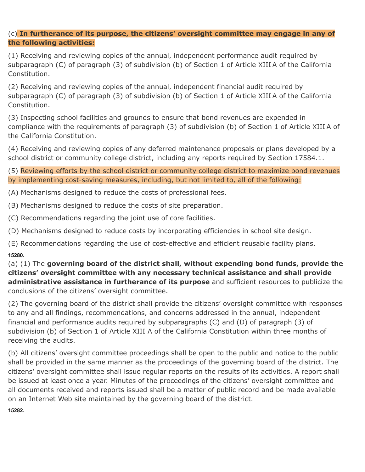## (c) **In furtherance of its purpose, the citizens' oversight committee may engage in any of the following activities:**

(1) Receiving and reviewing copies of the annual, independent performance audit required by subparagraph (C) of paragraph (3) of subdivision (b) of Section 1 of Article XIII A of the California Constitution.

(2) Receiving and reviewing copies of the annual, independent financial audit required by subparagraph (C) of paragraph (3) of subdivision (b) of Section 1 of Article XIII A of the California Constitution.

(3) Inspecting school facilities and grounds to ensure that bond revenues are expended in compliance with the requirements of paragraph (3) of subdivision (b) of Section 1 of Article XIII A of the California Constitution.

(4) Receiving and reviewing copies of any deferred maintenance proposals or plans developed by a school district or community college district, including any reports required by Section 17584.1.

(5) Reviewing efforts by the school district or community college district to maximize bond revenues by implementing cost-saving measures, including, but not limited to, all of the following:

(A) Mechanisms designed to reduce the costs of professional fees.

(B) Mechanisms designed to reduce the costs of site preparation.

(C) Recommendations regarding the joint use of core facilities.

(D) Mechanisms designed to reduce costs by incorporating efficiencies in school site design.

(E) Recommendations regarding the use of cost-effective and efficient reusable facility plans. **15280.**

(a) (1) The **governing board of the district shall, without expending bond funds, provide the citizens' oversight committee with any necessary technical assistance and shall provide administrative assistance in furtherance of its purpose** and sufficient resources to publicize the conclusions of the citizens' oversight committee.

(2) The governing board of the district shall provide the citizens' oversight committee with responses to any and all findings, recommendations, and concerns addressed in the annual, independent financial and performance audits required by subparagraphs (C) and (D) of paragraph (3) of subdivision (b) of Section 1 of Article XIII A of the California Constitution within three months of receiving the audits.

(b) All citizens' oversight committee proceedings shall be open to the public and notice to the public shall be provided in the same manner as the proceedings of the governing board of the district. The citizens' oversight committee shall issue regular reports on the results of its activities. A report shall be issued at least once a year. Minutes of the proceedings of the citizens' oversight committee and all documents received and reports issued shall be a matter of public record and be made available on an Internet Web site maintained by the governing board of the district.

**15282.**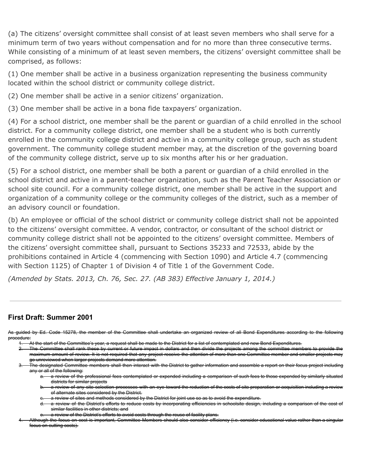(a) The citizens' oversight committee shall consist of at least seven members who shall serve for a minimum term of two years without compensation and for no more than three consecutive terms. While consisting of a minimum of at least seven members, the citizens' oversight committee shall be comprised, as follows:

(1) One member shall be active in a business organization representing the business community located within the school district or community college district.

(2) One member shall be active in a senior citizens' organization.

(3) One member shall be active in a bona fide taxpayers' organization.

(4) For a school district, one member shall be the parent or guardian of a child enrolled in the school district. For a community college district, one member shall be a student who is both currently enrolled in the community college district and active in a community college group, such as student government. The community college student member may, at the discretion of the governing board of the community college district, serve up to six months after his or her graduation.

(5) For a school district, one member shall be both a parent or guardian of a child enrolled in the school district and active in a parent-teacher organization, such as the Parent Teacher Association or school site council. For a community college district, one member shall be active in the support and organization of a community college or the community colleges of the district, such as a member of an advisory council or foundation.

(b) An employee or official of the school district or community college district shall not be appointed to the citizens' oversight committee. A vendor, contractor, or consultant of the school district or community college district shall not be appointed to the citizens' oversight committee. Members of the citizens' oversight committee shall, pursuant to Sections 35233 and 72533, abide by the prohibitions contained in Article 4 (commencing with Section 1090) and Article 4.7 (commencing with Section 1125) of Chapter 1 of Division 4 of Title 1 of the Government Code.

*(Amended by Stats. 2013, Ch. 76, Sec. 27. (AB 383) Effective January 1, 2014.)*

# **First Draft: Summer 2001**

As guided by Ed. Code 15278, the member of the Committee shall undertake an organized review of all Bond Expenditures according to the following procedure:

- 1. At the start of the Committee's year, a request shall be made to the District for a list of contemplated and new Bond Expenditures.
- 2. The Committee shall rank these by current or future impact in dollars and then divide the projects among the committee members to provide the maximum amount of review. It is not required that any project receive the attention of more than one Committee member and smaller projects may go unreviewed when larger projects demand more attention.
	- The designated Committee members shall then interact with the District to gather information and assemble a report on their focus project including any or all of the following:
		- a. a review of the professional fees contemplated or expended including a comparison of such fees to those expended by similarly situated districts for similar projects
		- a review of any site selection processes with an eye toward the reduction of the costs of site preparation or acquisition including a review of alternate sites considered by the District.
		- a review of sites and methods considered by the District for joint use so as to avoid the expenditure.
		- a review of the District's efforts to reduce costs by incorporating efficiencies in schoolsite design, including a comparison of the cost of similar facilities in other districts; and
		- a review of the District's efforts to avoid costs through the reuse of facility plans.
- 4. Although the focus on cost is important, Committee Members should also consider efficiency (i.e. consider educational value rather than a singular focus on cutting costs).